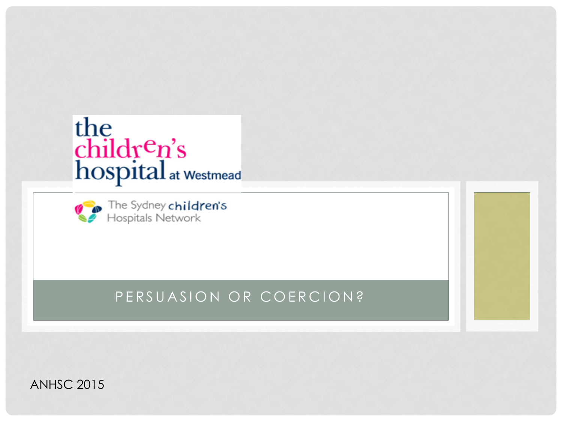



The Sydney children's

#### PERSUASION OR COERCION?

ANHSC 2015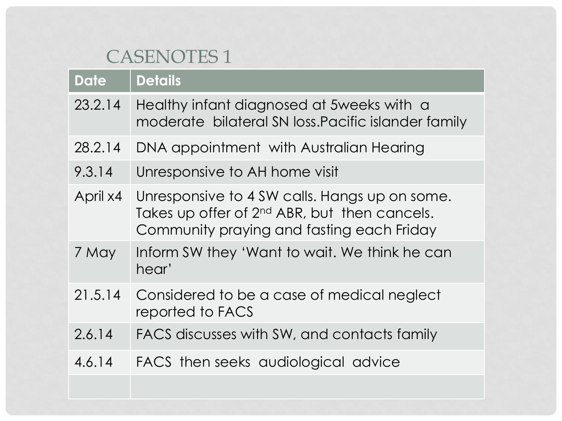## CASENOTES 1

| <b>Date</b> | <b>Details</b>                                                                                                                                         |
|-------------|--------------------------------------------------------------------------------------------------------------------------------------------------------|
| 23.2.14     | Healthy infant diagnosed at 5 weeks with a<br>moderate bilateral SN loss. Pacific islander family                                                      |
| 28.2.14     | DNA appointment with Australian Hearing                                                                                                                |
| 9.3.14      | Unresponsive to AH home visit                                                                                                                          |
| April x4    | Unresponsive to 4 SW calls. Hangs up on some.<br>Takes up offer of 2 <sup>nd</sup> ABR, but then cancels.<br>Community praying and fasting each Friday |
| 7 May       | Inform SW they 'Want to wait. We think he can<br>hear'                                                                                                 |
| 21.5.14     | Considered to be a case of medical neglect<br>reported to FACS                                                                                         |
| 2.6.14      | FACS discusses with SW, and contacts family                                                                                                            |
| 4.6.14      | FACS then seeks audiological advice                                                                                                                    |
|             |                                                                                                                                                        |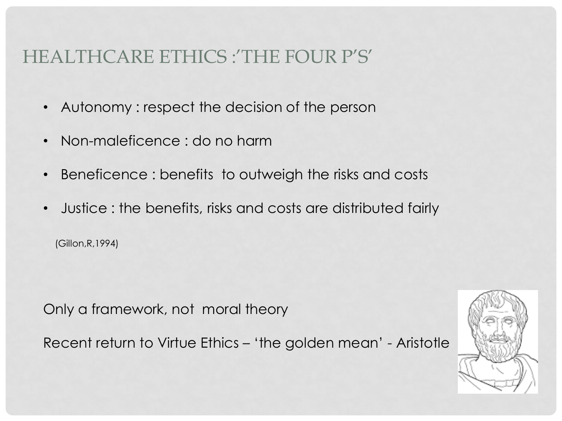## HEALTHCARE ETHICS :'THE FOUR P'S'

- Autonomy : respect the decision of the person
- Non-maleficence : do no harm
- Beneficence : benefits to outweigh the risks and costs
- Justice : the benefits, risks and costs are distributed fairly

(Gillon,R,1994)

Only a framework, not moral theory

Recent return to Virtue Ethics – 'the golden mean' - Aristotle

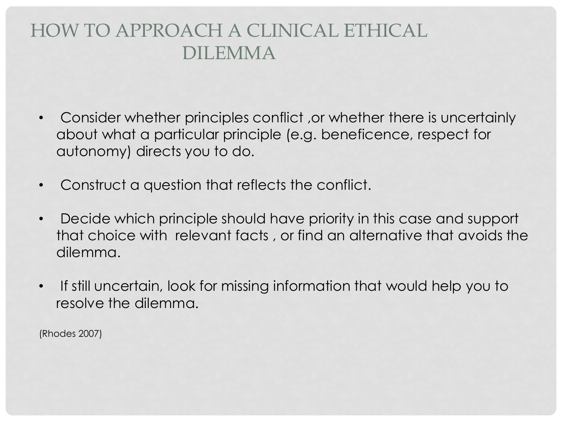# HOW TO APPROACH A CLINICAL ETHICAL DILEMMA

- Consider whether principles conflict ,or whether there is uncertainly about what a particular principle (e.g. beneficence, respect for autonomy) directs you to do.
- Construct a question that reflects the conflict.
- Decide which principle should have priority in this case and support that choice with relevant facts , or find an alternative that avoids the dilemma.
- If still uncertain, look for missing information that would help you to resolve the dilemma.

(Rhodes 2007)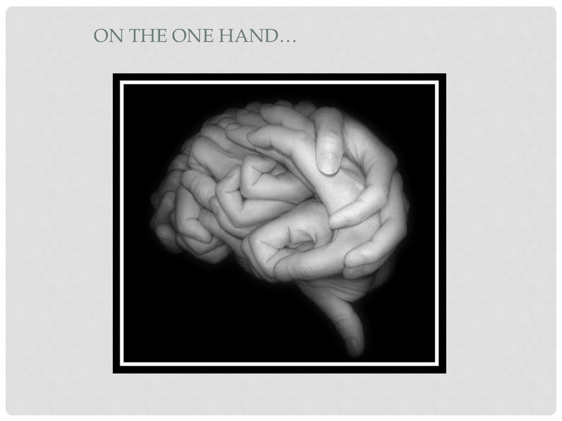# ON THE ONE HAND…

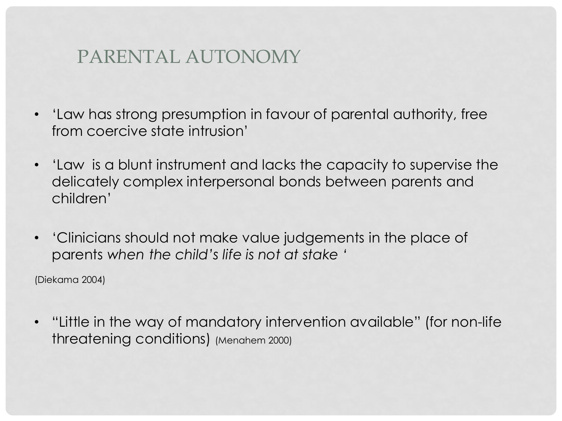## PARENTAL AUTONOMY

- 'Law has strong presumption in favour of parental authority, free from coercive state intrusion'
- 'Law is a blunt instrument and lacks the capacity to supervise the delicately complex interpersonal bonds between parents and children'
- 'Clinicians should not make value judgements in the place of parents *when the child's life is not at stake '*

(Diekama 2004)

• "Little in the way of mandatory intervention available" (for non-life threatening conditions) (Menahem 2000)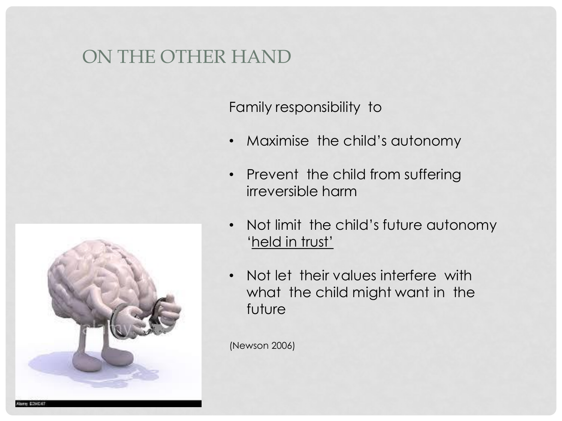#### ON THE OTHER HAND

Family responsibility to

- Maximise the child's autonomy
- Prevent the child from suffering irreversible harm
- Not limit the child's future autonomy 'held in trust'
- Not let their values interfere with what the child might want in the future

(Newson 2006)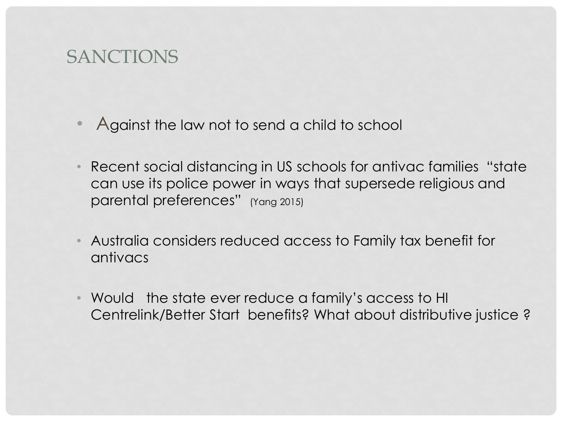#### SANCTIONS

- Against the law not to send a child to school
- Recent social distancing in US schools for antivac families "state can use its police power in ways that supersede religious and parental preferences" (Yang 2015)
- Australia considers reduced access to Family tax benefit for antivacs
- Would the state ever reduce a family's access to HI Centrelink/Better Start benefits? What about distributive justice ?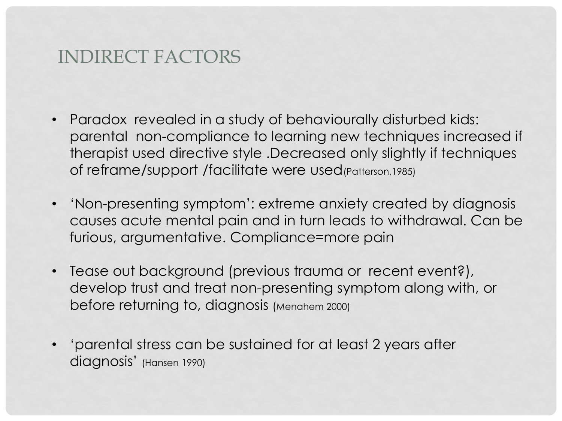## INDIRECT FACTORS

- Paradox revealed in a study of behaviourally disturbed kids: parental non-compliance to learning new techniques increased if therapist used directive style .Decreased only slightly if techniques of reframe/support /facilitate were used(Patterson,1985)
- 'Non-presenting symptom': extreme anxiety created by diagnosis causes acute mental pain and in turn leads to withdrawal. Can be furious, argumentative. Compliance=more pain
- Tease out background (previous trauma or recent event?), develop trust and treat non-presenting symptom along with, or before returning to, diagnosis (Menahem 2000)
- 'parental stress can be sustained for at least 2 years after diagnosis' (Hansen 1990)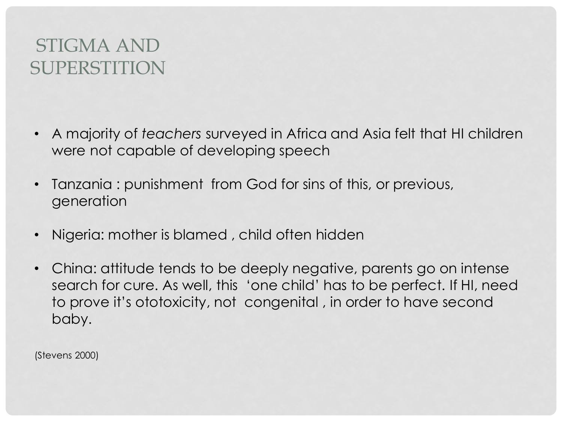## STIGMA AND SUPERSTITION

- A majority of *teachers* surveyed in Africa and Asia felt that HI children were not capable of developing speech
- Tanzania : punishment from God for sins of this, or previous, generation
- Nigeria: mother is blamed, child often hidden
- China: attitude tends to be deeply negative, parents go on intense search for cure. As well, this 'one child' has to be perfect. If HI, need to prove it's ototoxicity, not congenital , in order to have second baby.

(Stevens 2000)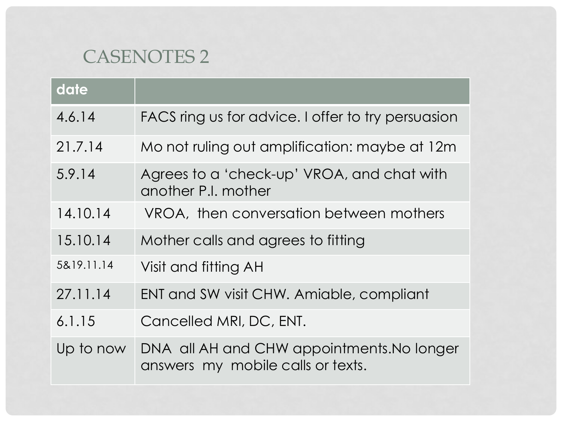## CASENOTES 2

| date       |                                                                                 |
|------------|---------------------------------------------------------------------------------|
| 4.6.14     | FACS ring us for advice. I offer to try persuasion                              |
| 21.7.14    | Mo not ruling out amplification: maybe at 12m                                   |
| 5.9.14     | Agrees to a 'check-up' VROA, and chat with<br>another P.I. mother               |
| 14.10.14   | VROA, then conversation between mothers                                         |
| 15.10.14   | Mother calls and agrees to fitting                                              |
| 5&19.11.14 | Visit and fitting AH                                                            |
| 27.11.14   | ENT and SW visit CHW. Amiable, compliant                                        |
| 6.1.15     | Cancelled MRI, DC, ENT.                                                         |
| Up to now  | DNA all AH and CHW appointments. No longer<br>answers my mobile calls or texts. |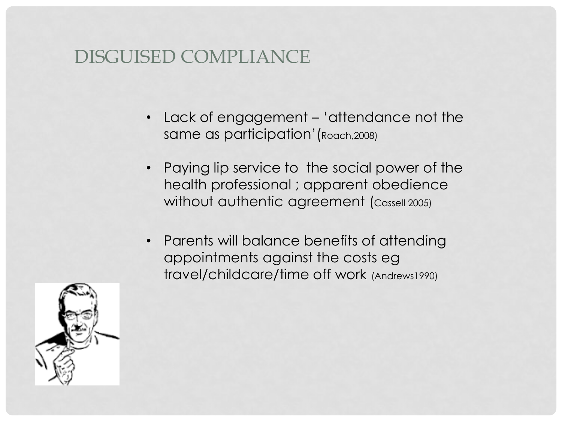### DISGUISED COMPLIANCE

- Lack of engagement 'attendance not the same as participation'(Roach,2008)
- Paying lip service to the social power of the health professional ; apparent obedience without authentic agreement (Cassell 2005)
- Parents will balance benefits of attending appointments against the costs eg travel/childcare/time off work (Andrews1990)

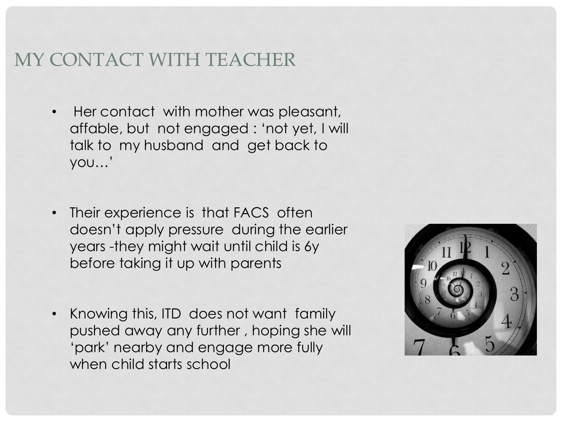## MY CONTACT WITH TEACH

- Her contact with mother was pleasant, affable, but not engaged : 'not yet, I will talk to my husband and get back to you…'
- Their experience is that FACS often doesn't apply pressure during the earlier years -they might wait until child is 6y before taking it up with parents
- Knowing this, ITD does not want family pushed away any further , hoping she will 'park' nearby and engage more fully when child starts school

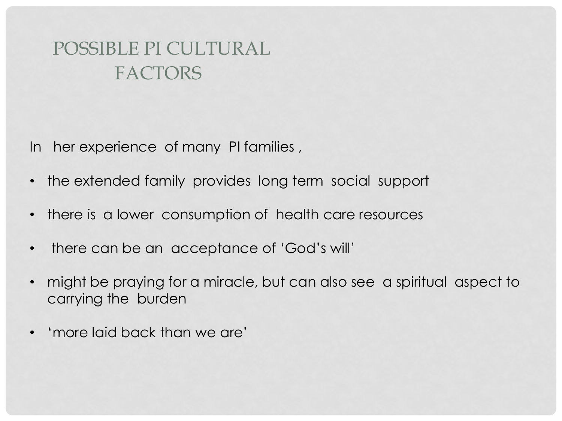## POSSIBLE PI CULTURAL FACTORS

In her experience of many PI families ,

- the extended family provides long term social support
- there is a lower consumption of health care resources
- there can be an acceptance of 'God's will'
- might be praying for a miracle, but can also see a spiritual aspect to carrying the burden
- 'more laid back than we are'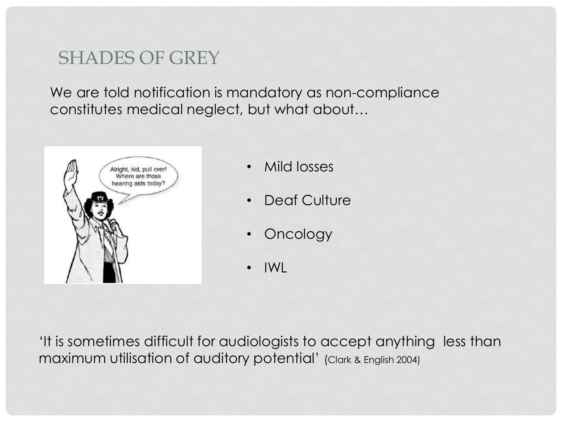## SHADES OF GREY

We are told notification is mandatory as non-compliance constitutes medical neglect, but what about…



- Mild losses
- Deaf Culture
- Oncology
- IWL

'It is sometimes difficult for audiologists to accept anything less than maximum utilisation of auditory potential' (Clark & English 2004)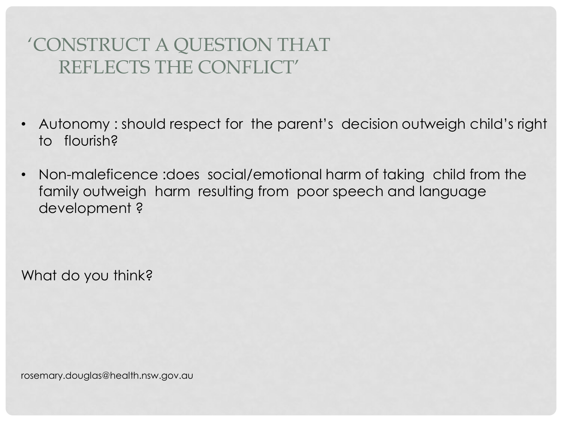## 'CONSTRUCT A QUESTION THAT REFLECTS THE CONFLICT'

- Autonomy : should respect for the parent's decision outweigh child's right to flourish?
- Non-maleficence :does social/emotional harm of taking child from the family outweigh harm resulting from poor speech and language development ?

What do you think?

rosemary.douglas@health.nsw.gov.au